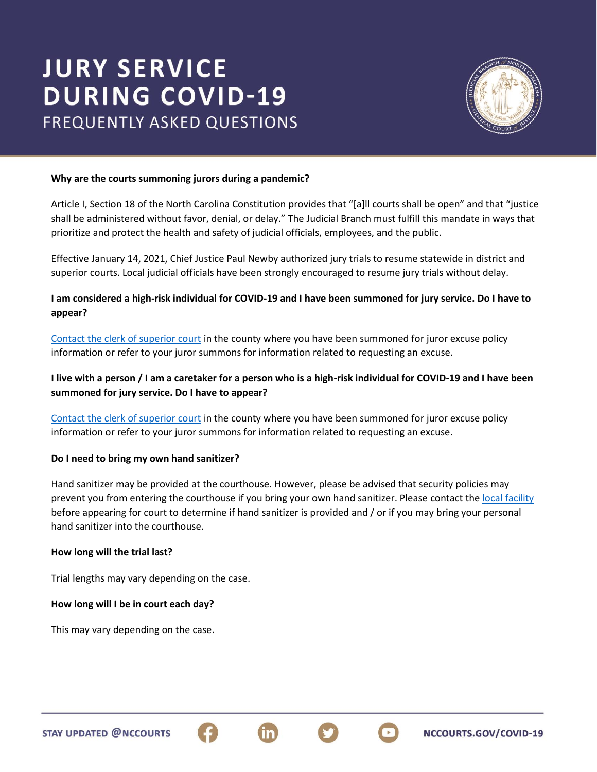# **JURY SERVICE DURING COVID-19 FREQUENTLY ASKED QUESTIONS**



NCCOURTS.GOV/COVID-19

#### **Why are the courts summoning jurors during a pandemic?**

Article I, Section 18 of the North Carolina Constitution provides that "[a]ll courts shall be open" and that "justice shall be administered without favor, denial, or delay." The Judicial Branch must fulfill this mandate in ways that prioritize and protect the health and safety of judicial officials, employees, and the public.

Effective January 14, 2021, Chief Justice Paul Newby authorized jury trials to resume statewide in district and superior courts. Local judicial officials have been strongly encouraged to resume jury trials without delay.

### **I am considered a high-risk individual for COVID-19 and I have been summoned for jury service. Do I have to appear?**

[Contact the clerk of superior court](https://www.nccourts.gov/locations) in the county where you have been summoned for juror excuse policy information or refer to your juror summons for information related to requesting an excuse.

## **I live with a person / I am a caretaker for a person who is a high-risk individual for COVID-19 and I have been summoned for jury service. Do I have to appear?**

[Contact the clerk of superior court](https://www.nccourts.gov/locations) in the county where you have been summoned for juror excuse policy information or refer to your juror summons for information related to requesting an excuse.

#### **Do I need to bring my own hand sanitizer?**

Hand sanitizer may be provided at the courthouse. However, please be advised that security policies may prevent you from entering the courthouse if you bring your own hand sanitizer. Please contact the [local facility](https://www.nccourts.gov/locations) before appearing for court to determine if hand sanitizer is provided and / or if you may bring your personal hand sanitizer into the courthouse.

#### **How long will the trial last?**

Trial lengths may vary depending on the case.

#### **How long will I be in court each day?**

This may vary depending on the case.